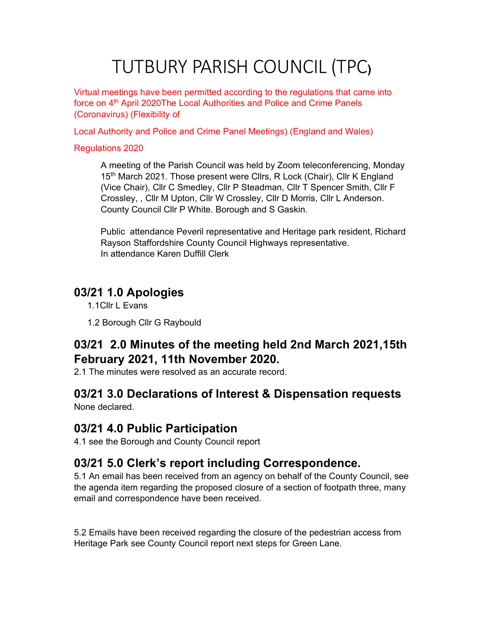# TUTBURY PARISH COUNCIL (TPC)

Virtual meetings have been permitted according to the regulations that came into force on 4<sup>th</sup> April 2020The Local Authorities and Police and Crime Panels (Coronavirus) (Flexibility of

Local Authority and Police and Crime Panel Meetings) (England and Wales)

#### Regulations 2020

A meeting of the Parish Council was held by Zoom teleconferencing, Monday 15<sup>th</sup> March 2021. Those present were Cllrs, R Lock (Chair), Cllr K England (Vice Chair), Cllr C Smedley, Cllr P Steadman, Cllr T Spencer Smith, Cllr F Crossley, , Cllr M Upton, Cllr W Crossley, Cllr D Morris, Cllr L Anderson. County Council Cllr P White. Borough and S Gaskin.

Public attendance Peveril representative and Heritage park resident, Richard Rayson Staffordshire County Council Highways representative. In attendance Karen Duffill Clerk

### 03/21 1.0 Apologies

1.1Cllr L Evans

1.2 Borough Cllr G Raybould

### 03/21 2.0 Minutes of the meeting held 2nd March 2021,15th February 2021, 11th November 2020.

2.1 The minutes were resolved as an accurate record.

# 03/21 3.0 Declarations of Interest & Dispensation requests

None declared.

### 03/21 4.0 Public Participation

4.1 see the Borough and County Council report

### 03/21 5.0 Clerk's report including Correspondence.

5.1 An email has been received from an agency on behalf of the County Council, see the agenda item regarding the proposed closure of a section of footpath three, many email and correspondence have been received.

5.2 Emails have been received regarding the closure of the pedestrian access from Heritage Park see County Council report next steps for Green Lane.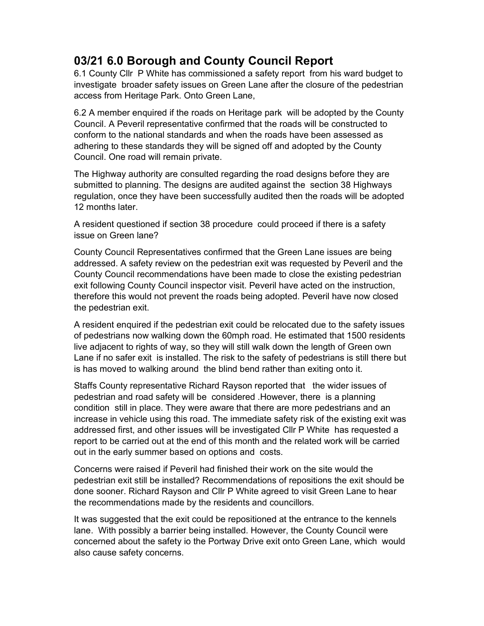### 03/21 6.0 Borough and County Council Report

6.1 County Cllr P White has commissioned a safety report from his ward budget to investigate broader safety issues on Green Lane after the closure of the pedestrian access from Heritage Park. Onto Green Lane,

6.2 A member enquired if the roads on Heritage park will be adopted by the County Council. A Peveril representative confirmed that the roads will be constructed to conform to the national standards and when the roads have been assessed as adhering to these standards they will be signed off and adopted by the County Council. One road will remain private.

The Highway authority are consulted regarding the road designs before they are submitted to planning. The designs are audited against the section 38 Highways regulation, once they have been successfully audited then the roads will be adopted 12 months later.

A resident questioned if section 38 procedure could proceed if there is a safety issue on Green lane?

County Council Representatives confirmed that the Green Lane issues are being addressed. A safety review on the pedestrian exit was requested by Peveril and the County Council recommendations have been made to close the existing pedestrian exit following County Council inspector visit. Peveril have acted on the instruction, therefore this would not prevent the roads being adopted. Peveril have now closed the pedestrian exit.

A resident enquired if the pedestrian exit could be relocated due to the safety issues of pedestrians now walking down the 60mph road. He estimated that 1500 residents live adjacent to rights of way, so they will still walk down the length of Green own Lane if no safer exit is installed. The risk to the safety of pedestrians is still there but is has moved to walking around the blind bend rather than exiting onto it.

Staffs County representative Richard Rayson reported that the wider issues of pedestrian and road safety will be considered .However, there is a planning condition still in place. They were aware that there are more pedestrians and an increase in vehicle using this road. The immediate safety risk of the existing exit was addressed first, and other issues will be investigated Cllr P White has requested a report to be carried out at the end of this month and the related work will be carried out in the early summer based on options and costs.

Concerns were raised if Peveril had finished their work on the site would the pedestrian exit still be installed? Recommendations of repositions the exit should be done sooner. Richard Rayson and Cllr P White agreed to visit Green Lane to hear the recommendations made by the residents and councillors.

It was suggested that the exit could be repositioned at the entrance to the kennels lane. With possibly a barrier being installed. However, the County Council were concerned about the safety io the Portway Drive exit onto Green Lane, which would also cause safety concerns.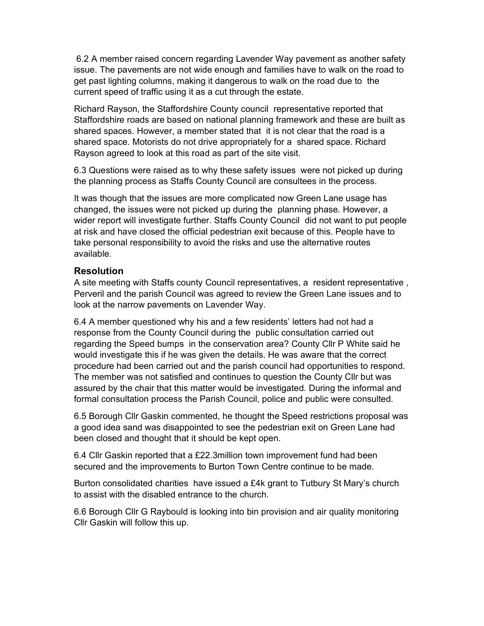6.2 A member raised concern regarding Lavender Way pavement as another safety issue. The pavements are not wide enough and families have to walk on the road to get past lighting columns, making it dangerous to walk on the road due to the current speed of traffic using it as a cut through the estate.

Richard Rayson, the Staffordshire County council representative reported that Staffordshire roads are based on national planning framework and these are built as shared spaces. However, a member stated that it is not clear that the road is a shared space. Motorists do not drive appropriately for a shared space. Richard Rayson agreed to look at this road as part of the site visit.

6.3 Questions were raised as to why these safety issues were not picked up during the planning process as Staffs County Council are consultees in the process.

It was though that the issues are more complicated now Green Lane usage has changed, the issues were not picked up during the planning phase. However, a wider report will investigate further. Staffs County Council did not want to put people at risk and have closed the official pedestrian exit because of this. People have to take personal responsibility to avoid the risks and use the alternative routes available.

#### Resolution

A site meeting with Staffs county Council representatives, a resident representative , Perveril and the parish Council was agreed to review the Green Lane issues and to look at the narrow pavements on Lavender Way.

6.4 A member questioned why his and a few residents' letters had not had a response from the County Council during the public consultation carried out regarding the Speed bumps in the conservation area? County Cllr P White said he would investigate this if he was given the details. He was aware that the correct procedure had been carried out and the parish council had opportunities to respond. The member was not satisfied and continues to question the County Cllr but was assured by the chair that this matter would be investigated. During the informal and formal consultation process the Parish Council, police and public were consulted.

6.5 Borough Cllr Gaskin commented, he thought the Speed restrictions proposal was a good idea sand was disappointed to see the pedestrian exit on Green Lane had been closed and thought that it should be kept open.

6.4 Cllr Gaskin reported that a £22.3million town improvement fund had been secured and the improvements to Burton Town Centre continue to be made.

Burton consolidated charities have issued a £4k grant to Tutbury St Mary's church to assist with the disabled entrance to the church.

6.6 Borough Cllr G Raybould is looking into bin provision and air quality monitoring Cllr Gaskin will follow this up.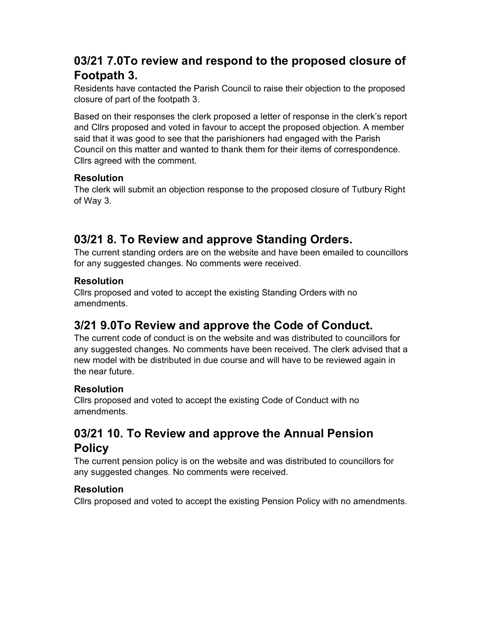### 03/21 7.0To review and respond to the proposed closure of Footpath 3.

Residents have contacted the Parish Council to raise their objection to the proposed closure of part of the footpath 3.

Based on their responses the clerk proposed a letter of response in the clerk's report and Cllrs proposed and voted in favour to accept the proposed objection. A member said that it was good to see that the parishioners had engaged with the Parish Council on this matter and wanted to thank them for their items of correspondence. Cllrs agreed with the comment.

#### Resolution

The clerk will submit an objection response to the proposed closure of Tutbury Right of Way 3.

### 03/21 8. To Review and approve Standing Orders.

The current standing orders are on the website and have been emailed to councillors for any suggested changes. No comments were received.

#### Resolution

Cllrs proposed and voted to accept the existing Standing Orders with no amendments.

### 3/21 9.0To Review and approve the Code of Conduct.

The current code of conduct is on the website and was distributed to councillors for any suggested changes. No comments have been received. The clerk advised that a new model with be distributed in due course and will have to be reviewed again in the near future.

#### Resolution

Cllrs proposed and voted to accept the existing Code of Conduct with no amendments.

### 03/21 10. To Review and approve the Annual Pension Policy

The current pension policy is on the website and was distributed to councillors for any suggested changes. No comments were received.

#### Resolution

Cllrs proposed and voted to accept the existing Pension Policy with no amendments.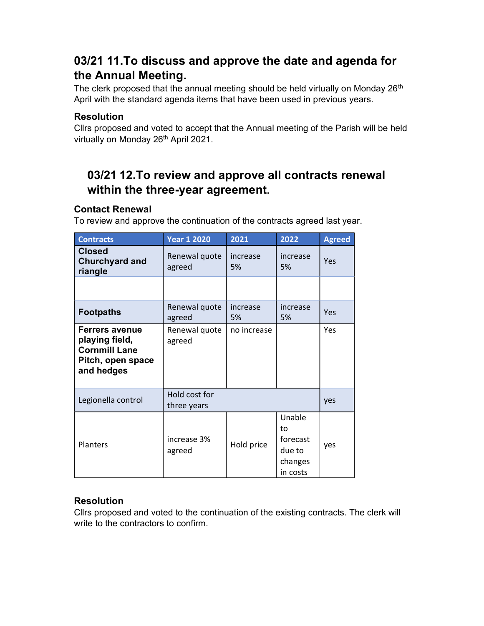### 03/21 11.To discuss and approve the date and agenda for the Annual Meeting.

The clerk proposed that the annual meeting should be held virtually on Monday 26<sup>th</sup> April with the standard agenda items that have been used in previous years.

#### Resolution

Cllrs proposed and voted to accept that the Annual meeting of the Parish will be held virtually on Monday 26<sup>th</sup> April 2021.

### 03/21 12.To review and approve all contracts renewal within the three-year agreement.

#### Contact Renewal

To review and approve the continuation of the contracts agreed last year.

| <b>Contracts</b>                                                                                   | <b>Year 1 2020</b>           | 2021           | 2022                                                      | <b>Agreed</b> |
|----------------------------------------------------------------------------------------------------|------------------------------|----------------|-----------------------------------------------------------|---------------|
| <b>Closed</b><br><b>Churchyard and</b><br>riangle                                                  | Renewal quote<br>agreed      | increase<br>5% | increase<br>5%                                            | Yes           |
|                                                                                                    |                              |                |                                                           |               |
| <b>Footpaths</b>                                                                                   | Renewal quote<br>agreed      | increase<br>5% | increase<br>5%                                            | Yes           |
| <b>Ferrers avenue</b><br>playing field,<br><b>Cornmill Lane</b><br>Pitch, open space<br>and hedges | Renewal quote<br>agreed      | no increase    |                                                           | Yes           |
| Legionella control                                                                                 | Hold cost for<br>three years |                |                                                           | yes           |
| Planters                                                                                           | increase 3%<br>agreed        | Hold price     | Unable<br>to<br>forecast<br>due to<br>changes<br>in costs | yes           |

#### Resolution

Cllrs proposed and voted to the continuation of the existing contracts. The clerk will write to the contractors to confirm.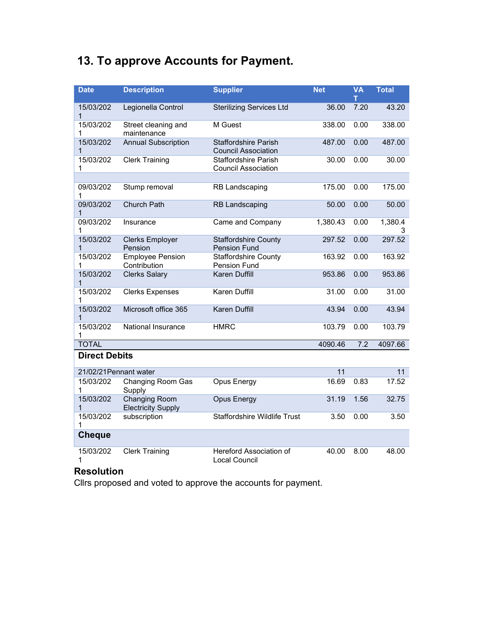# 13. To approve Accounts for Payment.

| <b>Date</b>               | <b>Description</b>                                | <b>Supplier</b>                                           | <b>Net</b> | <b>VA</b><br>т | <b>Total</b> |
|---------------------------|---------------------------------------------------|-----------------------------------------------------------|------------|----------------|--------------|
| 15/03/202<br>1            | Legionella Control                                | <b>Sterilizing Services Ltd</b>                           | 36.00      | 7.20           | 43.20        |
| 15/03/202<br>1            | Street cleaning and<br>maintenance                | M Guest                                                   | 338.00     | 0.00           | 338.00       |
| 15/03/202<br>1            | <b>Annual Subscription</b>                        | <b>Staffordshire Parish</b><br><b>Council Association</b> | 487.00     | 0.00           | 487.00       |
| 15/03/202<br>1            | <b>Clerk Training</b>                             | <b>Staffordshire Parish</b><br><b>Council Association</b> | 30.00      | 0.00           | 30.00        |
| 09/03/202                 | Stump removal                                     | <b>RB Landscaping</b>                                     | 175.00     | 0.00           | 175.00       |
| 1                         |                                                   |                                                           |            |                |              |
| 09/03/202<br>$\mathbf{1}$ | Church Path                                       | <b>RB Landscaping</b>                                     | 50.00      | 0.00           | 50.00        |
| 09/03/202<br>1            | Insurance                                         | Came and Company                                          | 1,380.43   | 0.00           | 1,380.4<br>3 |
| 15/03/202<br>1            | <b>Clerks Employer</b><br>Pension                 | <b>Staffordshire County</b><br><b>Pension Fund</b>        | 297.52     | 0.00           | 297.52       |
| 15/03/202<br>1            | <b>Employee Pension</b><br>Contribution           | <b>Staffordshire County</b><br>Pension Fund               | 163.92     | 0.00           | 163.92       |
| 15/03/202<br>1            | <b>Clerks Salary</b>                              | Karen Duffill                                             | 953.86     | 0.00           | 953.86       |
| 15/03/202<br>1            | <b>Clerks Expenses</b>                            | Karen Duffill                                             | 31.00      | 0.00           | 31.00        |
| 15/03/202<br>$\mathbf{1}$ | Microsoft office 365                              | Karen Duffill                                             | 43.94      | 0.00           | 43.94        |
| 15/03/202<br>1            | National Insurance                                | <b>HMRC</b>                                               | 103.79     | 0.00           | 103.79       |
| <b>TOTAL</b>              |                                                   |                                                           | 4090.46    | 7.2            | 4097.66      |
| <b>Direct Debits</b>      |                                                   |                                                           |            |                |              |
| 21/02/21 Pennant water    |                                                   |                                                           | 11         |                | 11           |
| 15/03/202<br>1            | Changing Room Gas<br>Supply                       | Opus Energy                                               | 16.69      | 0.83           | 17.52        |
| 15/03/202<br>1            | <b>Changing Room</b><br><b>Electricity Supply</b> | <b>Opus Energy</b>                                        | 31.19      | 1.56           | 32.75        |
| 15/03/202<br>1            | subscription                                      | <b>Staffordshire Wildlife Trust</b>                       | 3.50       | 0.00           | 3.50         |
| <b>Cheque</b>             |                                                   |                                                           |            |                |              |
| 15/03/202<br>1            | <b>Clerk Training</b>                             | Hereford Association of<br>Local Council                  | 40.00      | 8.00           | 48.00        |

#### Resolution

Cllrs proposed and voted to approve the accounts for payment.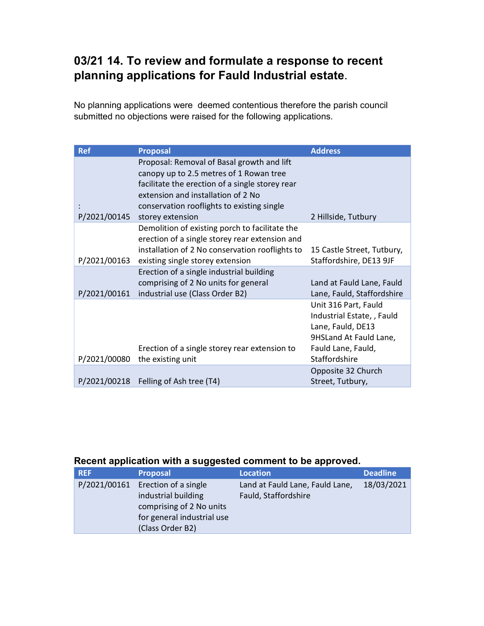### 03/21 14. To review and formulate a response to recent planning applications for Fauld Industrial estate.

No planning applications were deemed contentious therefore the parish council submitted no objections were raised for the following applications.

| <b>Ref</b>   | <b>Proposal</b>                                 | <b>Address</b>             |
|--------------|-------------------------------------------------|----------------------------|
|              | Proposal: Removal of Basal growth and lift      |                            |
|              | canopy up to 2.5 metres of 1 Rowan tree         |                            |
|              | facilitate the erection of a single storey rear |                            |
|              | extension and installation of 2 No              |                            |
|              | conservation rooflights to existing single      |                            |
| P/2021/00145 | storey extension                                | 2 Hillside, Tutbury        |
|              | Demolition of existing porch to facilitate the  |                            |
|              | erection of a single storey rear extension and  |                            |
|              | installation of 2 No conservation rooflights to | 15 Castle Street, Tutbury, |
| P/2021/00163 | existing single storey extension                | Staffordshire, DE13 9JF    |
|              | Erection of a single industrial building        |                            |
|              | comprising of 2 No units for general            | Land at Fauld Lane, Fauld  |
| P/2021/00161 | industrial use (Class Order B2)                 | Lane, Fauld, Staffordshire |
|              |                                                 | Unit 316 Part, Fauld       |
|              |                                                 | Industrial Estate, , Fauld |
|              |                                                 | Lane, Fauld, DE13          |
|              |                                                 | 9HSLand At Fauld Lane,     |
|              | Erection of a single storey rear extension to   | Fauld Lane, Fauld,         |
| P/2021/00080 | the existing unit                               | Staffordshire              |
|              |                                                 | Opposite 32 Church         |
| P/2021/00218 | Felling of Ash tree (T4)                        | Street, Tutbury,           |

#### Recent application with a suggested comment to be approved.

| <b>REF</b>   | <b>Proposal</b>                                                                                                           | <b>Location</b>                                         | <b>Deadline</b> |
|--------------|---------------------------------------------------------------------------------------------------------------------------|---------------------------------------------------------|-----------------|
| P/2021/00161 | Erection of a single<br>industrial building<br>comprising of 2 No units<br>for general industrial use<br>(Class Order B2) | Land at Fauld Lane, Fauld Lane,<br>Fauld, Staffordshire | 18/03/2021      |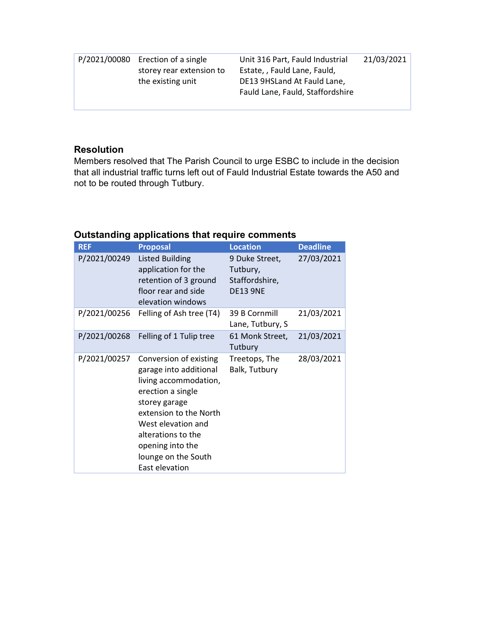| P/2021/00080 Erection of a single | Unit 316 Part, Fauld Industrial  | 21/03/2021 |
|-----------------------------------|----------------------------------|------------|
| storey rear extension to          | Estate, , Fauld Lane, Fauld,     |            |
| the existing unit                 | DE13 9HSLand At Fauld Lane,      |            |
|                                   | Fauld Lane, Fauld, Staffordshire |            |
|                                   |                                  |            |

#### Resolution

Members resolved that The Parish Council to urge ESBC to include in the decision that all industrial traffic turns left out of Fauld Industrial Estate towards the A50 and not to be routed through Tutbury.

#### Outstanding applications that require comments

| <b>REF</b>   | <b>Proposal</b>                                                                                                                                                                                                                                    | <b>Location</b>                                                 | <b>Deadline</b> |
|--------------|----------------------------------------------------------------------------------------------------------------------------------------------------------------------------------------------------------------------------------------------------|-----------------------------------------------------------------|-----------------|
| P/2021/00249 | <b>Listed Building</b><br>application for the<br>retention of 3 ground<br>floor rear and side<br>elevation windows                                                                                                                                 | 9 Duke Street,<br>Tutbury,<br>Staffordshire,<br><b>DE13 9NE</b> | 27/03/2021      |
| P/2021/00256 | Felling of Ash tree (T4)                                                                                                                                                                                                                           | 39 B Cornmill<br>Lane, Tutbury, S                               | 21/03/2021      |
| P/2021/00268 | Felling of 1 Tulip tree                                                                                                                                                                                                                            | 61 Monk Street,<br>Tutbury                                      | 21/03/2021      |
| P/2021/00257 | Conversion of existing<br>garage into additional<br>living accommodation,<br>erection a single<br>storey garage<br>extension to the North<br>West elevation and<br>alterations to the<br>opening into the<br>lounge on the South<br>East elevation | Treetops, The<br>Balk, Tutbury                                  | 28/03/2021      |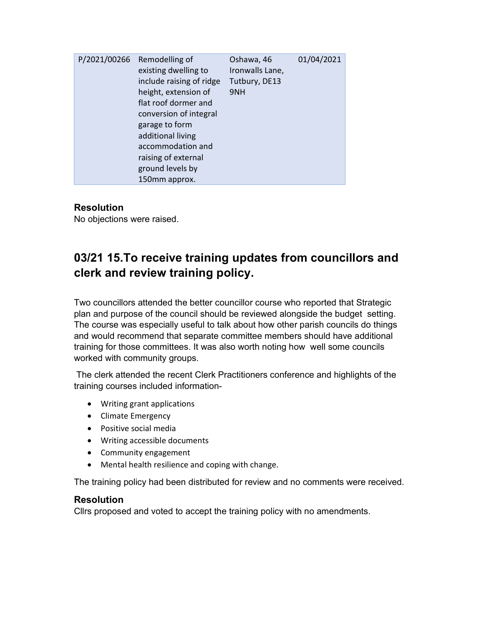| P/2021/00266 | Remodelling of<br>existing dwelling to<br>include raising of ridge<br>height, extension of<br>flat roof dormer and<br>conversion of integral<br>garage to form<br>additional living<br>accommodation and<br>raising of external<br>ground levels by | Oshawa, 46<br>Ironwalls Lane,<br>Tutbury, DE13<br>9NH | 01/04/2021 |
|--------------|-----------------------------------------------------------------------------------------------------------------------------------------------------------------------------------------------------------------------------------------------------|-------------------------------------------------------|------------|
|              | 150mm approx.                                                                                                                                                                                                                                       |                                                       |            |

#### **Resolution**

No objections were raised.

### 03/21 15.To receive training updates from councillors and clerk and review training policy.

Two councillors attended the better councillor course who reported that Strategic plan and purpose of the council should be reviewed alongside the budget setting. The course was especially useful to talk about how other parish councils do things and would recommend that separate committee members should have additional training for those committees. It was also worth noting how well some councils worked with community groups.

 The clerk attended the recent Clerk Practitioners conference and highlights of the training courses included information-

- Writing grant applications
- Climate Emergency
- Positive social media
- Writing accessible documents
- Community engagement
- Mental health resilience and coping with change.

The training policy had been distributed for review and no comments were received.

#### Resolution

Cllrs proposed and voted to accept the training policy with no amendments.